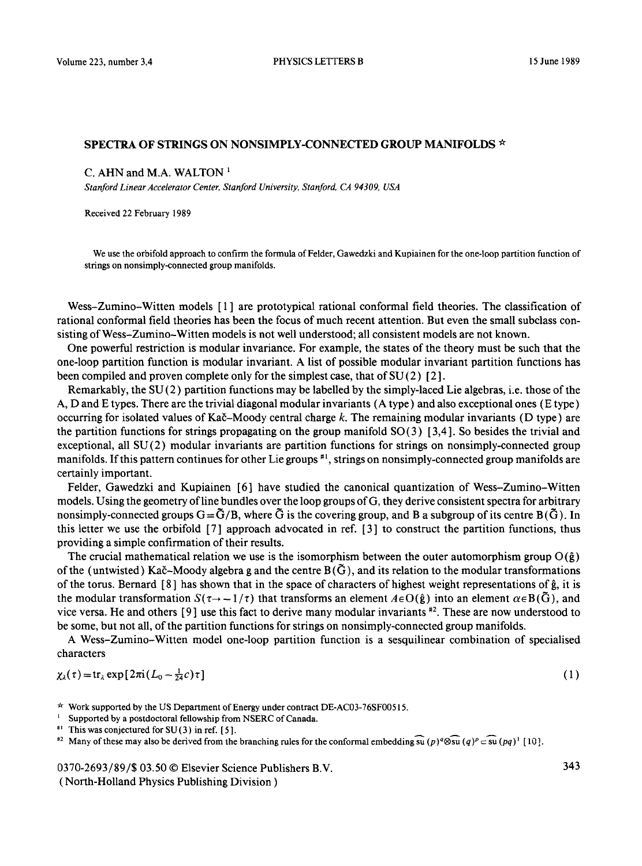## SPECTRA OF STRINGS ON NONSIMPLY-CONNECTED GROUP MANIFOLDS  $\star$

### C. AHN and M.A. WALTON  $<sup>1</sup>$ </sup>

*Stanford Linear Accelerator Center, Stanford University, Stanford, CA 94309, USA* 

Received 22 February 1989

We use the orbifold approach to confirm the formula of Felder, Gawedzki and Kupiainen for the one-loop partition function of strings on nonsimply-connected group manifolds.

Wess-Zumino-Witten models [1] are prototypical rational conformal field theories. The classification of rational conformal field theories has been the focus of much recent attention. But even the small subclass consisting of Wess-Zumino-Witten models is not well understood; all consistent models are not known.

One powerful restriction is modular invariance. For example, the states of the theory must be such that the one-loop partition function is modular invariant. A list of possible modular invariant partition functions has been compiled and proven complete only for the simplest case, that of  $SU(2)$  [2].

Remarkably, the  $SU(2)$  partition functions may be labelled by the simply-laced Lie algebras, i.e. those of the A, D and E types. There are the trivial diagonal modular invariants (A type) and also exceptional ones (E type) occurring for isolated values of Ka $\check{c}$ -Moody central charge k. The remaining modular invariants (D type) are the partition functions for strings propagating on the group manifold  $SO(3)$  [3,4]. So besides the trivial and exceptional, all SU(2) modular invariants are partition functions for strings on nonsimply-connected group manifolds. If this pattern continues for other Lie groups  $*$ , strings on nonsimply-connected group manifolds are certainly important.

Felder, Gawedzki and Kupiainen [6] have studied the canonical quantization of Wess-Zumino-Witten models. Using the geometry of line bundles over the loop groups of G, they derive consistent spectra for arbitrary nonsimply-connected groups  $G = \tilde{G}/B$ , where  $\tilde{G}$  is the covering group, and B a subgroup of its centre B( $\tilde{G}$ ). In this letter we use the orbifold [7 ] approach advocated in ref. [ 3 ] to construct the partition functions, thus providing a simple confirmation of their results.

The crucial mathematical relation we use is the isomorphism between the outer automorphism group  $O(\hat{g})$ of the (untwisted) Kač-Moody algebra g and the centre  $B(\tilde{G})$ , and its relation to the modular transformations of the torus. Bernard  $[8]$  has shown that in the space of characters of highest weight representations of  $\hat{g}$ , it is the modular transformation  $S(\tau \to -1/\tau)$  that transforms an element  $A \in O(\hat{g})$  into an element  $\alpha \in B(\tilde{G})$ , and vice versa. He and others  $\lceil 9 \rceil$  use this fact to derive many modular invariants  $\lceil 2 \rceil$ . These are now understood to be some, but not all, of the partition functions for strings on nonsimply-connected group manifolds.

A Wess-Zumino-Witten model one-loop partition function is a sesquilinear combination of specialised characters

$$
\chi_{\lambda}(\tau) = \text{tr}_{\lambda} \exp\left[2\pi i (L_0 - \frac{1}{24}c)\tau\right]
$$
 (1)

- Supported by a postdoctoral fellowship from NSERC of Canada.
- $*$ <sup>1</sup> This was conjectured for SU(3) in ref. [5].

<sup>#2</sup> Many of these may also be derived from the branching rules for the conformal embedding  $\widehat{su}(p)^{q}\otimes\widehat{su}(q)^{p} \subset \widehat{su}(pq)^{1}$  [10].

0370-2693/89/\$ 03.50 © Elsevier Science Publishers B.V.

( North-Holland Physics Publishing Division )

 $\star$  Work supported by the US Department of Energy under contract DE-AC03-76SF00515.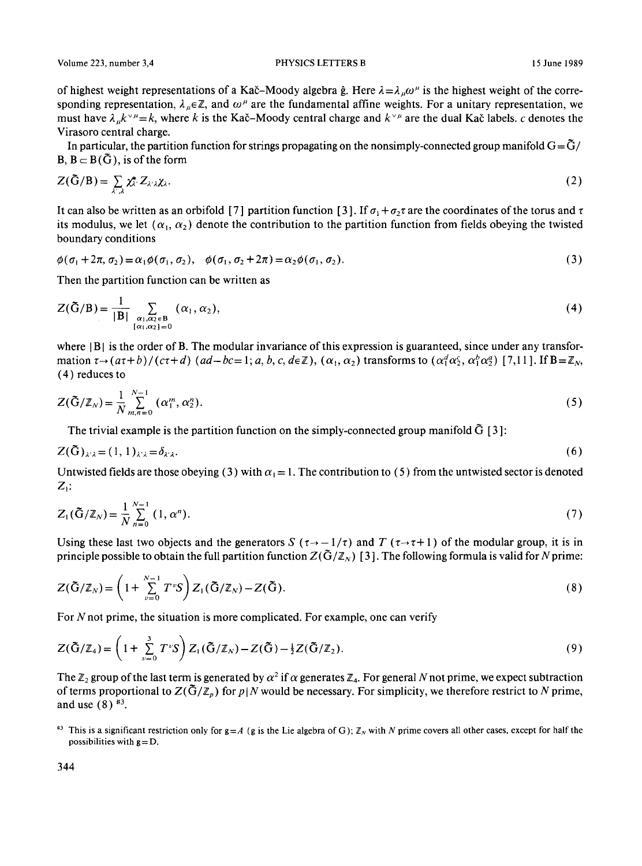Volume 223, number 3,4 **PHYSICS LETTERS B** 15 June 1989

of highest weight representations of a Kač-Moody algebra  $\hat{g}$ . Here  $\lambda = \lambda_{\mu}\omega^{\mu}$  is the highest weight of the corresponding representation,  $\lambda_{\mu} \in \mathbb{Z}$ , and  $\omega^{\mu}$  are the fundamental affine weights. For a unitary representation, we must have  $\lambda_n k^{\vee \mu} = k$ , where k is the Kač-Moody central charge and  $k^{\vee \mu}$  are the dual Kač labels, c denotes the Virasoro central charge.

In particular, the partition function for strings propagating on the nonsimply-connected group manifold  $G = \tilde{G}/$  $B, B \subset B(\tilde{G})$ , is of the form

$$
Z(\tilde{G}/B) = \sum_{\lambda',\lambda} \chi_{\lambda'}^* Z_{\lambda'\lambda} \chi_{\lambda'}.
$$
 (2)

It can also be written as an orbifold [7] partition function [3]. If  $\sigma_1 + \sigma_2 \tau$  are the coordinates of the torus and  $\tau$ its modulus, we let  $(\alpha_1, \alpha_2)$  denote the contribution to the partition function from fields obeying the twisted boundary conditions

$$
\phi(\sigma_1 + 2\pi, \sigma_2) = \alpha_1 \phi(\sigma_1, \sigma_2), \quad \phi(\sigma_1, \sigma_2 + 2\pi) = \alpha_2 \phi(\sigma_1, \sigma_2).
$$
\n(3)

Then the partition function can be written as

$$
Z(\tilde{G}/B) = \frac{1}{|B|} \sum_{\substack{\alpha_1, \alpha_2 \in B \\ [\alpha_1, \alpha_2] = 0}} (\alpha_1, \alpha_2), \qquad (4)
$$

where  $|B|$  is the order of B. The modular invariance of this expression is guaranteed, since under any transformation  $\tau \rightarrow (a\tau+b)/(c\tau+d)$  ( $ad-bc=1; a, b, c, d \in \mathbb{Z}$ ),  $(\alpha_1, \alpha_2)$  transforms to  $(\alpha_1^d \alpha_2^c, \alpha_1^b \alpha_2^c)$  [7,11]. If  $B=\mathbb{Z}_N$ , (4) reduces to

$$
Z(\tilde{G}/\mathbb{Z}_N) = \frac{1}{N} \sum_{m,n=0}^{N-1} (\alpha_1^m, \alpha_2^n).
$$
 (5)

The trivial example is the partition function on the simply-connected group manifold  $\bar{G}$  [3]:

$$
Z(\tilde{G})_{\lambda'\lambda} = (1,1)_{\lambda'\lambda} = \delta_{\lambda'\lambda}.\tag{6}
$$

Untwisted fields are those obeying (3) with  $\alpha_1 = 1$ . The contribution to (5) from the untwisted sector is denoted  $Z_{1}$ :

$$
Z_1(\tilde{G}/\mathbb{Z}_N) = \frac{1}{N} \sum_{n=0}^{N-1} (1, \alpha^n).
$$
 (7)

Using these last two objects and the generators S ( $\tau \rightarrow -1/\tau$ ) and T ( $\tau \rightarrow \tau+1$ ) of the modular group, it is in principle possible to obtain the full partition function  $Z(\tilde{G}/Z_N)$  [3]. The following formula is valid for N prime:

$$
Z(\tilde{G}/\mathbb{Z}_N) = \left(1 + \sum_{\nu=0}^{N-1} T^{\nu} S\right) Z_1(\tilde{G}/\mathbb{Z}_N) - Z(\tilde{G}).
$$
\n(8)

For  $N$  not prime, the situation is more complicated. For example, one can verify

$$
Z(\tilde{G}/\mathbb{Z}_4) = \left(1 + \sum_{\nu=0}^{3} T^{\nu} S\right) Z_1(\tilde{G}/\mathbb{Z}_N) - Z(\tilde{G}) - \frac{1}{2} Z(\tilde{G}/\mathbb{Z}_2).
$$
\n(9)

The  $\mathbb{Z}_2$  group of the last term is generated by  $\alpha^2$  if  $\alpha$  generates  $\mathbb{Z}_4$ . For general N not prime, we expect subtraction of terms proportional to  $Z(\tilde{G}/\mathbb{Z}_p)$  for  $p|N$  would be necessary. For simplicity, we therefore restrict to N prime, and use  $(8)$  <sup>#3</sup>.

<sup>&</sup>lt;sup>#3</sup> This is a significant restriction only for  $g = A$  (g is the Lie algebra of G);  $\mathbb{Z}_N$  with N prime covers all other cases, except for half the possibilities with  $g = D$ .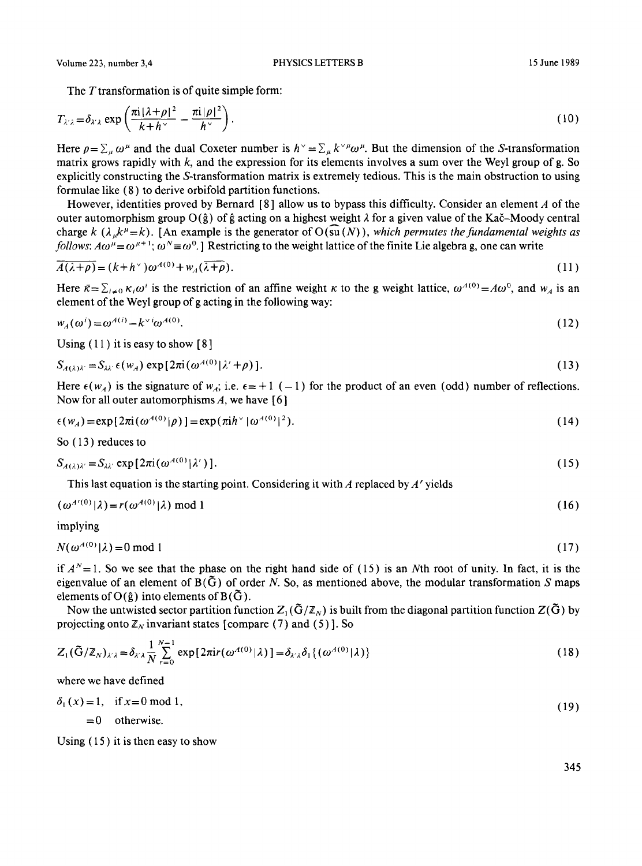The  $T$  transformation is of quite simple form:

$$
T_{\lambda/\lambda} = \delta_{\lambda/\lambda} \exp\left(\frac{\pi i |\lambda + \rho|^2}{k + h^{\vee}} - \frac{\pi i |\rho|^2}{h^{\vee}}\right).
$$
 (10)

Here  $\rho = \sum_{\mu} \omega^{\mu}$  and the dual Coxeter number is  $h^{\vee} = \sum_{\mu} k^{\vee} \mu \omega^{\mu}$ . But the dimension of the S-transformation matrix grows rapidly with k, and the expression for its elements involves a sum over the Weyl group of g. So explicitly constructing the S-transformation matrix is extremely tedious. This is the main obstruction to using formulae like (8) to derive orbifold partition functions.

However, identities proved by Bernard  $\lceil 8 \rceil$  allow us to bypass this difficulty. Consider an element A of the outer automorphism group O( $\hat{g}$ ) of  $\hat{g}$  acting on a highest weight  $\lambda$  for a given value of the Kač–Moody central charge k ( $\lambda_{\mu}k^{\mu}=k$ ). [An example is the generator of  $O(\overline{su}(N))$ , *which permutes the fundamental weights as follows:*  $A\omega^{\mu} = \omega^{\mu+1}$ *;*  $\omega^N = \omega^0$ . ] Restricting to the weight lattice of the finite Lie algebra g, one can write

$$
\overline{A(\lambda+\rho)} = (k+h^{\vee})\omega^{A(0)} + w_A(\overline{\lambda+\rho}).
$$
\n(11)

Here  $\bar{\kappa} = \sum_{i \neq 0} \kappa_i \omega^i$  is the restriction of an affine weight  $\kappa$  to the g weight lattice,  $\omega^{A(0)} = A \omega^0$ , and  $w_A$  is an element of the Weyl group of g acting in the following way:

$$
w_A(\omega^i) = \omega^{A(i)} - k^{\vee i} \omega^{A(0)}.
$$
\n<sup>(12)</sup>

Using  $(11)$  it is easy to show  $[8]$ 

$$
S_{A(\lambda)\lambda'} = S_{\lambda\lambda'} \epsilon(w_A) \exp[2\pi i (\omega^{A(0)}|\lambda' + \rho)]. \tag{13}
$$

Here  $\epsilon(w_4)$  is the signature of  $w_4$ ; i.e.  $\epsilon = +1$  (-1) for the product of an even (odd) number of reflections. Now for all outer automorphisms  $A$ , we have [6]

$$
\epsilon(w_A) = \exp\{2\pi i (\omega^{A(0)}|\rho)\} = \exp(\pi i h^\vee |\omega^{A(0)}|^2). \tag{14}
$$

So (13) reduces to

$$
S_{A(\lambda)\lambda'} = S_{\lambda\lambda'} \exp[2\pi i (\omega^{A(0)}|\lambda'])].
$$
\n(15)

This last equation is the starting point. Considering it with  $\overline{A}$  replaced by  $\overline{A}$  yields

$$
(\omega^{A'(0)}|\lambda) = r(\omega^{A(0)}|\lambda) \bmod 1
$$
 (16)

implying

 $N(\omega^{A(0)} | \lambda) = 0 \text{ mod } 1$  (17)

if  $A<sup>N</sup>=1$ . So we see that the phase on the right hand side of (15) is an Nth root of unity. In fact, it is the eigenvalue of an element of  $B(\tilde{G})$  of order N. So, as mentioned above, the modular transformation S maps elements of O( $\hat{g}$ ) into elements of B( $\tilde{G}$ ).

Now the untwisted sector partition function  $Z_1(\tilde{G}/\mathbb{Z}_N)$  is built from the diagonal partition function  $Z(\tilde{G})$  by projecting onto  $\mathbb{Z}_N$  invariant states [compare (7) and (5)]. So

$$
Z_1(\tilde{G}/\mathbb{Z}_N)_{\lambda/\lambda} = \delta_{\lambda/\lambda} \frac{1}{N} \sum_{r=0}^{N-1} \exp\{2\pi i r(\omega^{A(0)}|\lambda)\} = \delta_{\lambda/\lambda} \delta_1 \{(\omega^{A(0)}|\lambda)\}
$$
(18)

where we have defined

$$
\delta_1(x) = 1, \text{ if } x = 0 \text{ mod } 1,
$$
\n(19)

 $= 0$  otherwise.

Using  $(15)$  it is then easy to show

345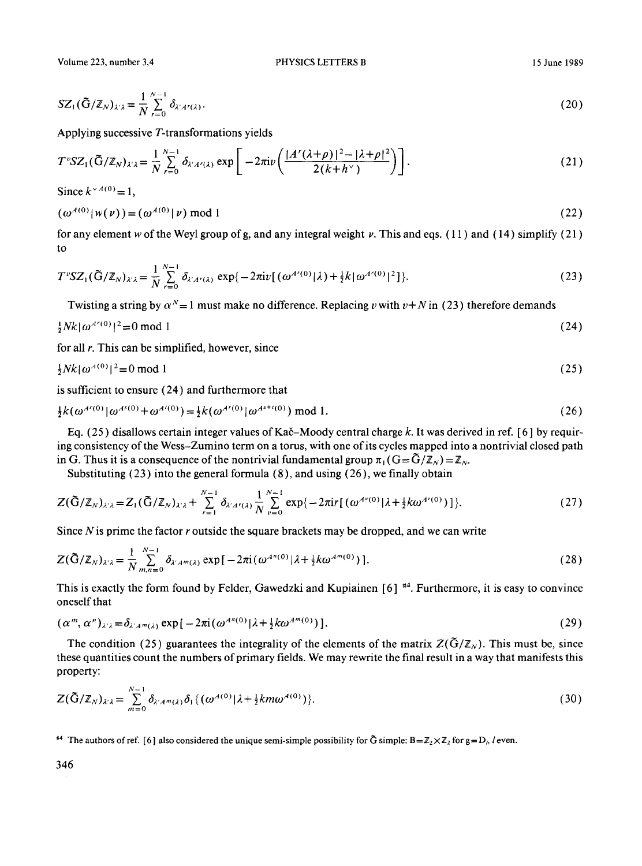$$
SZ_1(\tilde{G}/\mathbb{Z}_N)_{\lambda/\lambda} = \frac{1}{N} \sum_{r=0}^{N-1} \delta_{\lambda' A^r(\lambda)}.
$$
 (20)

Applying successive T-transformations yields

$$
T^{\nu}SZ_{1}(\tilde{G}/\mathbb{Z}_{N})_{\lambda^{\nu}\lambda}=\frac{1}{N}\sum_{r=0}^{N-1}\delta_{\lambda^{\nu}A^{r}(\lambda)}\exp\bigg[-2\pi i\nu\bigg(\frac{|A^{r}(\lambda+\rho)|^{2}-|\lambda+\rho|^{2}}{2(k+h^{\vee})}\bigg)\bigg].
$$
\n(21)

Since  $k^{\vee A(0)} = 1$ ,

$$
(\omega^{A(0)} | w(v)) = (\omega^{A(0)} | v) \bmod 1
$$
 (22)

for any element w of the Weyl group of g, and any integral weight v. This and eqs. (11) and (14) simplify (21) to

$$
T^{\nu}SZ_{1}(\tilde{G}/\mathbb{Z}_{N})_{\lambda^{\prime}\lambda} = \frac{1}{N} \sum_{r=0}^{N-1} \delta_{\lambda^{\prime}A^{r}(\lambda)} \exp\{-2\pi i\nu[(\omega^{A^{r}(0)}|\lambda) + \frac{1}{2}k|\omega^{A^{r}(0)}|^{2}]\}.
$$
 (23)

Twisting a string by  $\alpha^N = 1$  must make no difference. Replacing v with  $v + N$  in (23) therefore demands

$$
\frac{1}{2}Nk|\omega^{4\prime(0)}|^2 = 0 \mod 1
$$
 (24)

for all  $r$ . This can be simplified, however, since

$$
\frac{1}{2}Nk|\omega^{A(0)}|^2=0 \text{ mod } 1\tag{25}
$$

is sufficient to ensure (24) and furthermore that

$$
\frac{1}{2}k(\omega^{A^{r}(0)}|\omega^{A^{s}(0)}+\omega^{A^{t}(0)}) = \frac{1}{2}k(\omega^{A^{r}(0)}|\omega^{A^{s+t}(0)}) \mod 1.
$$
 (26)

Eq. (25) disallows certain integer values of Kač-Moody central charge k. It was derived in ref. [6] by requiring consistency of the Wess-Zumino term on a toms, with one of its cycles mapped into a nontrivial closed path in G. Thus it is a consequence of the nontrivial fundamental group  $\pi_1$  (G =  $\tilde{G}/\mathbb{Z}_N$ ) =  $\mathbb{Z}_N$ .

Substituting  $(23)$  into the general formula  $(8)$ , and using  $(26)$ , we finally obtain

$$
Z(\tilde{G}/\mathbb{Z}_N)_{\lambda/\lambda} = Z_1(\tilde{G}/\mathbb{Z}_N)_{\lambda/\lambda} + \sum_{r=1}^{N-1} \delta_{\lambda'A'(1)} \frac{1}{N} \sum_{\nu=0}^{N-1} \exp\{-2\pi i r [(\omega^{A^{\nu}(0)}|\lambda + \frac{1}{2}k\omega^{A'(0)})]\}.
$$
 (27)

Since  $N$  is prime the factor  $r$  outside the square brackets may be dropped, and we can write

$$
Z(\tilde{G}/\mathbb{Z}_N)_{\lambda/\lambda} = \frac{1}{N} \sum_{m,n=0}^{N-1} \delta_{\lambda'A^m(\lambda)} \exp[-2\pi i (\omega^{A^n(0)}|\lambda + \frac{1}{2}k\omega^{A^m(0)})].
$$
 (28)

This is exactly the form found by Felder, Gawedzki and Kupiainen  $[6]$ <sup>#4</sup>. Furthermore, it is easy to convince oneself that

$$
(\alpha^m, \alpha^n)_{\lambda \lambda} = \delta_{\lambda^r A^m(\lambda)} \exp\left[-2\pi i \left(\omega^{A^n(0)}\right) \lambda + \frac{1}{2} k \omega^{A^m(0)}\right)].
$$
\n(29)

The condition (25) guarantees the integrality of the elements of the matrix  $Z(\tilde{G}/Z_N)$ . This must be, since these quantities count the numbers of primary fields. We may rewrite the final result in a way that manifests this property:

$$
Z(\tilde{G}/\mathbb{Z}_N)_{\lambda/\lambda} = \sum_{m=0}^{N-1} \delta_{\lambda'A^m(\lambda)} \delta_1 \{ (\omega^{A(0)} | \lambda + \frac{1}{2} k m \omega^{A(0)}) \}.
$$
 (30)

<sup>#4</sup> The authors of ref. [6] also considered the unique semi-simple possibility for  $\tilde{G}$  simple:  $B = \mathbb{Z}_2 \times \mathbb{Z}_2$  for  $g = D_h$  l even.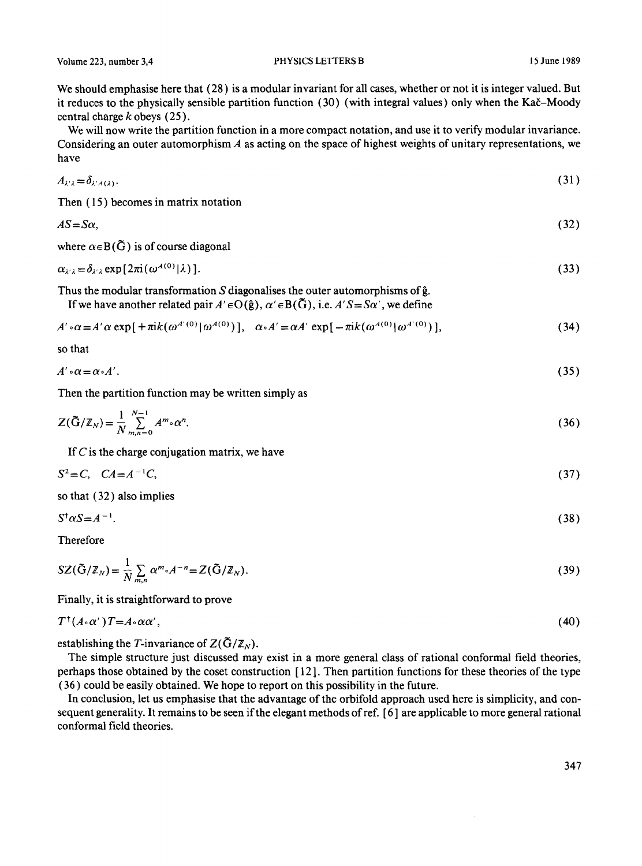We should emphasise here that (28) is a modular invariant for all cases, whether or not it is integer valued. But it reduces to the physically sensible partition function (30) (with integral values) only when the Kač–Moody central charge  $k$  obeys  $(25)$ .

We will now write the partition function in a more compact notation, and use it to verify modular invariance. Considering an outer automorphism A as acting on the space of highest weights of unitary representations, we have

$$
A_{\lambda'\lambda} = \delta_{\lambda'A(\lambda)}.
$$
\n(31)

Then ( 15 ) becomes in matrix notation

$$
AS = S\alpha, \tag{32}
$$

where  $\alpha \in B(\tilde{G})$  is of course diagonal

$$
\alpha_{\lambda/\lambda} = \delta_{\lambda/\lambda} \exp[2\pi i (\omega^{A(0)}|\lambda)]. \tag{33}
$$

Thus the modular transformation  $S$  diagonalises the outer automorphisms of  $\hat{g}$ . If we have another related pair  $A' \in O(\hat{g})$ ,  $\alpha' \in B(\tilde{G})$ , i.e.  $A' S = S\alpha'$ , we define

$$
A' \circ \alpha = A' \alpha \exp\left[ \pm \pi i k (\omega^{A'(0)} | \omega^{A(0)}) \right], \quad \alpha \circ A' = \alpha A' \exp\left[ -\pi i k (\omega^{A(0)} | \omega^{A'(0)}) \right],\tag{34}
$$

so that

$$
A' \circ \alpha = \alpha \circ A'. \tag{35}
$$

Then the partition function may be written simply as

$$
Z(\tilde{G}/\mathbb{Z}_N) = \frac{1}{N} \sum_{m,n=0}^{N-1} A^m \cdot \alpha^n.
$$
 (36)

If  $C$  is the charge conjugation matrix, we have

$$
S^2 = C, \quad CA = A^{-1}C,\tag{37}
$$

so that (32) also implies

$$
S^{\dagger}\alpha S = A^{-1}.\tag{38}
$$

Therefore

$$
SZ(\tilde{G}/\mathbb{Z}_N) = \frac{1}{N} \sum_{m,n} \alpha^m \cdot A^{-n} = Z(\tilde{G}/\mathbb{Z}_N).
$$
\n(39)

Finally, it is straightforward to prove

$$
T^{\dagger}(A \cdot \alpha')T = A \cdot \alpha \alpha',\tag{40}
$$

establishing the T-invariance of  $Z(\tilde{G}/\mathbb{Z}_N)$ .

The simple structure just discussed may exist in a more general class of rational conformal field theories, perhaps those obtained by the coset construction [ 12 ]. Then partition functions for these theories of the type ( 36 ) could he easily obtained. We hope to report on this possibility in the future.

In conclusion, let us emphasise that the advantage of the orbifold approach used here is simplicity, and consequent generality. It remains to be seen if the elegant methods ofref. [ 6 ] are applicable to more general rational conformal field theories.